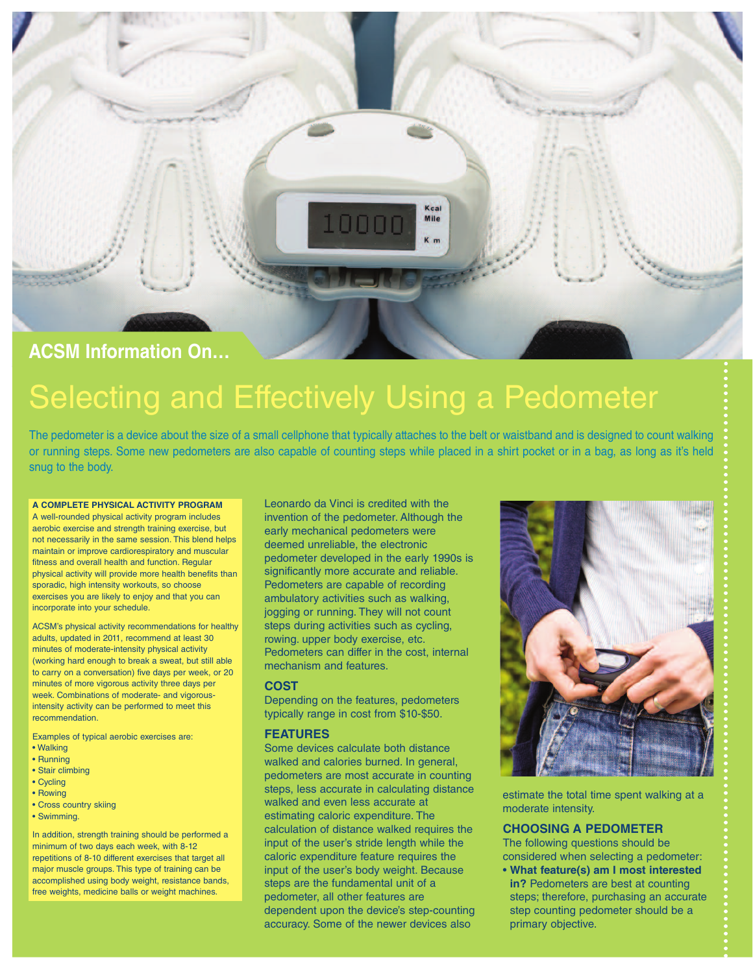

# Selecting and Effectively Using a Pedometer

The pedometer is a device about the size of a small cellphone that typically attaches to the belt or waistband and is designed to count walking or running steps. Some new pedometers are also capable of counting steps while placed in a shirt pocket or in a bag, as long as it's held snug to the body.

## **A COMPLETE PHYSICAL ACTIVITY PROGRAM**

A well-rounded physical activity program includes aerobic exercise and strength training exercise, but not necessarily in the same session. This blend helps maintain or improve cardiorespiratory and muscular fitness and overall health and function. Regular physical activity will provide more health benefits than sporadic, high intensity workouts, so choose exercises you are likely to enjoy and that you can incorporate into your schedule.

ACSM's physical activity recommendations for healthy adults, updated in 2011, recommend at least 30 minutes of moderate-intensity physical activity (working hard enough to break a sweat, but still able to carry on a conversation) five days per week, or 20 minutes of more vigorous activity three days per week. Combinations of moderate- and vigorousintensity activity can be performed to meet this recommendation.

Examples of typical aerobic exercises are:

- Walking
- Running
- Stair climbing • Cycling
- Rowing
- 
- Cross country skiing
- Swimming.

In addition, strength training should be performed a minimum of two days each week, with 8-12 repetitions of 8-10 different exercises that target all major muscle groups. This type of training can be accomplished using body weight, resistance bands, free weights, medicine balls or weight machines.

Leonardo da Vinci is credited with the invention of the pedometer. Although the early mechanical pedometers were deemed unreliable, the electronic pedometer developed in the early 1990s is significantly more accurate and reliable. Pedometers are capable of recording ambulatory activities such as walking, jogging or running. They will not count steps during activities such as cycling, rowing. upper body exercise, etc. Pedometers can differ in the cost, internal mechanism and features.

# **COST**

Depending on the features, pedometers typically range in cost from \$10-\$50.

## **FEATURES**

Some devices calculate both distance walked and calories burned. In general, pedometers are most accurate in counting steps, less accurate in calculating distance walked and even less accurate at estimating caloric expenditure. The calculation of distance walked requires the input of the user's stride length while the caloric expenditure feature requires the input of the user's body weight. Because steps are the fundamental unit of a pedometer, all other features are dependent upon the device's step-counting accuracy. Some of the newer devices also



estimate the total time spent walking at a moderate intensity.

## **CHOOSING A PEDOMETER**

The following questions should be considered when selecting a pedometer:

• **What feature(s) am I most interested in?** Pedometers are best at counting steps; therefore, purchasing an accurate step counting pedometer should be a primary objective.